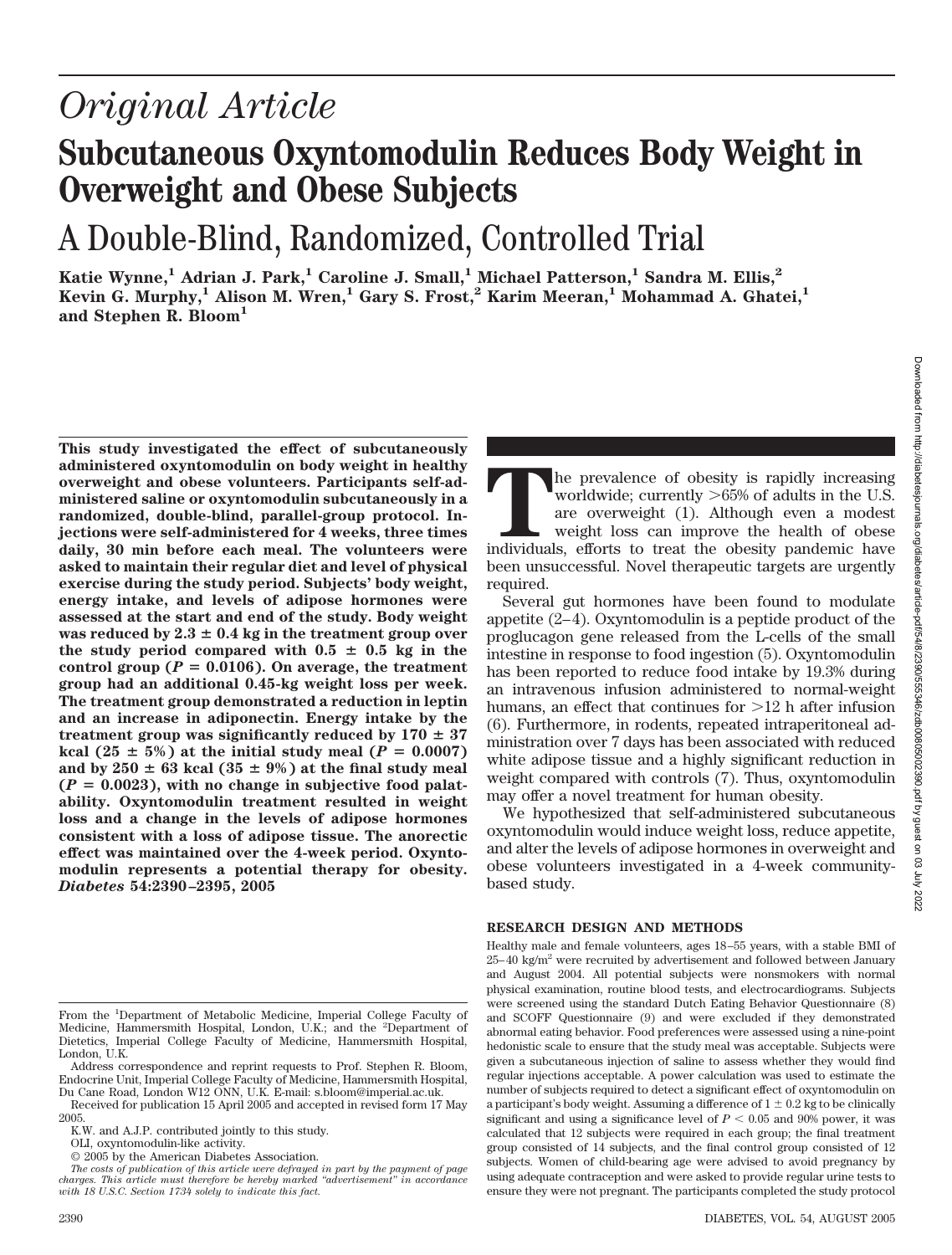## **Subcutaneous Oxyntomodulin Reduces Body Weight in Overweight and Obese Subjects**

# A Double-Blind, Randomized, Controlled Trial

Katie Wynne,<sup>1</sup> Adrian J. Park,<sup>1</sup> Caroline J. Small,<sup>1</sup> Michael Patterson,<sup>1</sup> Sandra M. Ellis,<sup>2</sup> Kevin G. Murphy,<sup>1</sup> Alison M. Wren,<sup>1</sup> Gary S. Frost,<sup>2</sup> Karim Meeran,<sup>1</sup> Mohammad A. Ghatei,<sup>1</sup> **and Stephen R. Bloom1**

**This study investigated the effect of subcutaneously administered oxyntomodulin on body weight in healthy overweight and obese volunteers. Participants self-administered saline or oxyntomodulin subcutaneously in a randomized, double-blind, parallel-group protocol. Injections were self-administered for 4 weeks, three times daily, 30 min before each meal. The volunteers were asked to maintain their regular diet and level of physical exercise during the study period. Subjects' body weight, energy intake, and levels of adipose hormones were assessed at the start and end of the study. Body weight** was reduced by  $2.3 \pm 0.4$  kg in the treatment group over the study period compared with  $0.5 \pm 0.5$  kg in the control group ( $P = 0.0106$ ). On average, the treatment **group had an additional 0.45-kg weight loss per week. The treatment group demonstrated a reduction in leptin and an increase in adiponectin. Energy intake by the** treatment group was significantly reduced by  $170 \pm 37$  $kcal (25 \pm 5%)$  at the initial study meal  $(P = 0.0007)$ and by  $250 \pm 63$  kcal  $(35 \pm 9\%)$  at the final study meal  $(P = 0.0023)$ , with no change in subjective food palat**ability. Oxyntomodulin treatment resulted in weight loss and a change in the levels of adipose hormones consistent with a loss of adipose tissue. The anorectic effect was maintained over the 4-week period. Oxyntomodulin represents a potential therapy for obesity.** *Diabetes* **54:2390–2395, 2005**

K.W. and A.J.P. contributed jointly to this study.

The prevalence of obesity is rapidly increasing worldwide; currently >65% of adults in the U.S. are overweight (1). Although even a modest weight loss can improve the health of obese individuals, efforts to treat the obesi worldwide; currently  $>65\%$  of adults in the U.S. are overweight (1). Although even a modest weight loss can improve the health of obese individuals, efforts to treat the obesity pandemic have been unsuccessful. Novel therapeutic targets are urgently required.

Several gut hormones have been found to modulate appetite (2–4). Oxyntomodulin is a peptide product of the proglucagon gene released from the L-cells of the small intestine in response to food ingestion (5). Oxyntomodulin has been reported to reduce food intake by 19.3% during an intravenous infusion administered to normal-weight humans, an effect that continues for  $>12$  h after infusion (6). Furthermore, in rodents, repeated intraperitoneal administration over 7 days has been associated with reduced white adipose tissue and a highly significant reduction in weight compared with controls (7). Thus, oxyntomodulin may offer a novel treatment for human obesity.

We hypothesized that self-administered subcutaneous oxyntomodulin would induce weight loss, reduce appetite, and alter the levels of adipose hormones in overweight and obese volunteers investigated in a 4-week communitybased study.

## **RESEARCH DESIGN AND METHODS**

Healthy male and female volunteers, ages 18–55 years, with a stable BMI of  $25-40$  kg/m<sup>2</sup> were recruited by advertisement and followed between January and August 2004. All potential subjects were nonsmokers with normal physical examination, routine blood tests, and electrocardiograms. Subjects were screened using the standard Dutch Eating Behavior Questionnaire (8) and SCOFF Questionnaire (9) and were excluded if they demonstrated abnormal eating behavior. Food preferences were assessed using a nine-point hedonistic scale to ensure that the study meal was acceptable. Subjects were given a subcutaneous injection of saline to assess whether they would find regular injections acceptable. A power calculation was used to estimate the number of subjects required to detect a significant effect of oxyntomodulin on a participant's body weight. Assuming a difference of  $1 \pm 0.2$  kg to be clinically significant and using a significance level of  $P < 0.05$  and 90% power, it was calculated that 12 subjects were required in each group; the final treatment group consisted of 14 subjects, and the final control group consisted of 12 subjects. Women of child-bearing age were advised to avoid pregnancy by using adequate contraception and were asked to provide regular urine tests to ensure they were not pregnant. The participants completed the study protocol

From the <sup>1</sup>Department of Metabolic Medicine, Imperial College Faculty of Medicine, Hammersmith Hospital, London, U.K.; and the <sup>2</sup>Department of Dietetics, Imperial College Faculty of Medicine, Hammersmith Hospital, London, U.K.

Address correspondence and reprint requests to Prof. Stephen R. Bloom, Endocrine Unit, Imperial College Faculty of Medicine, Hammersmith Hospital, Du Cane Road, London W12 ONN, U.K. E-mail: s.bloom@imperial.ac.uk.

Received for publication 15 April 2005 and accepted in revised form 17 May 2005.

OLI, oxyntomodulin-like activity.

<sup>© 2005</sup> by the American Diabetes Association.

*The costs of publication of this article were defrayed in part by the payment of page charges. This article must therefore be hereby marked "advertisement" in accordance with 18 U.S.C. Section 1734 solely to indicate this fact.*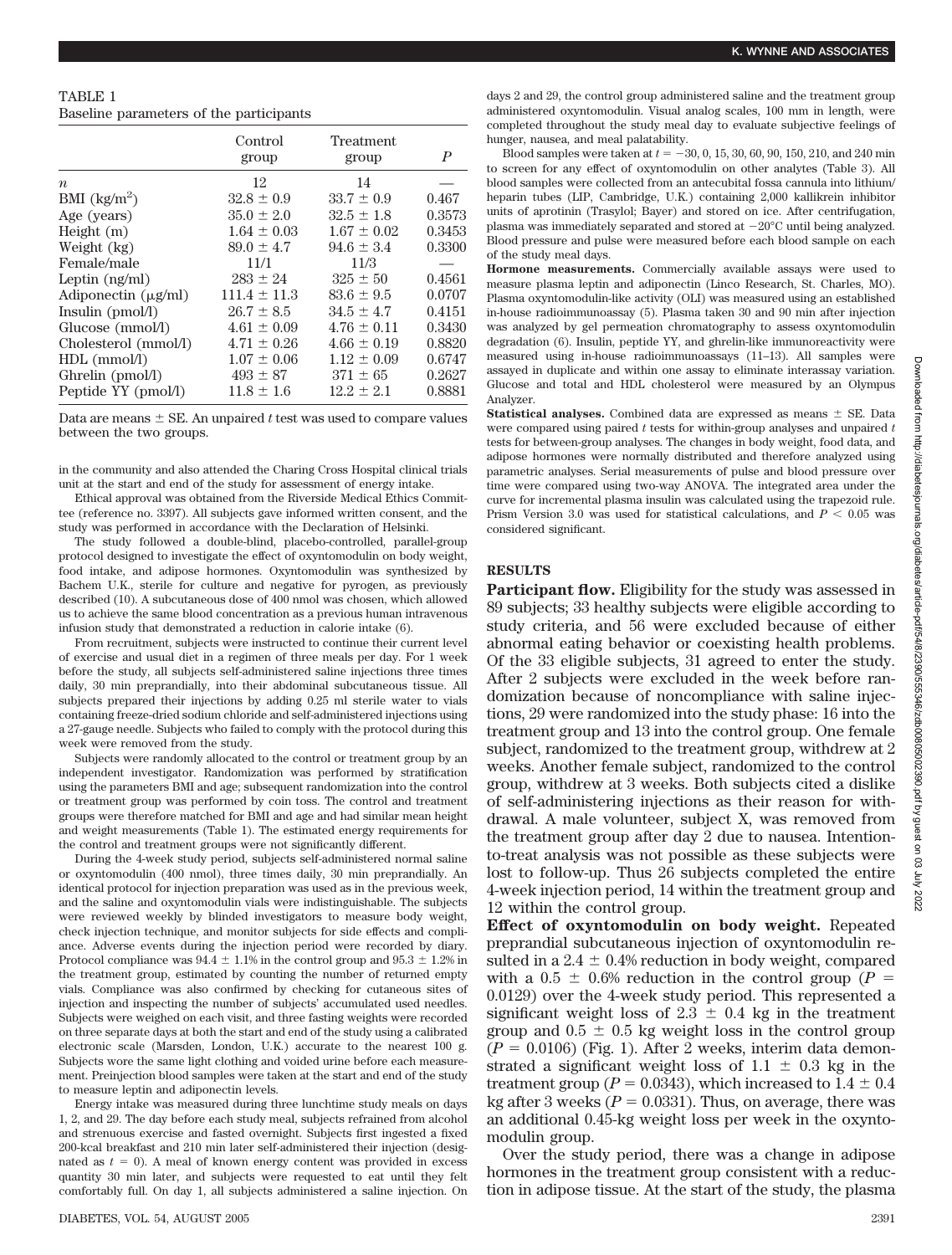|                                    | Control<br>group | Treatment<br>group | $\boldsymbol{P}$ |
|------------------------------------|------------------|--------------------|------------------|
| $\boldsymbol{n}$                   | 12               | 14                 |                  |
| BMI $\frac{\text{kg}}{\text{m}^2}$ | $32.8 \pm 0.9$   | $33.7 \pm 0.9$     | 0.467            |
| Age (years)                        | $35.0 \pm 2.0$   | $32.5 \pm 1.8$     | 0.3573           |
| Height $(m)$                       | $1.64 \pm 0.03$  | $1.67 \pm 0.02$    | 0.3453           |
| Weight (kg)                        | $89.0 \pm 4.7$   | $94.6 \pm 3.4$     | 0.3300           |
| Female/male                        | 11/1             | 11/3               |                  |
| Leptin $(ng/ml)$                   | $283 \pm 24$     | $325 \pm 50$       | 0.4561           |
| Adiponectin $(\mu g/ml)$           | $111.4 \pm 11.3$ | $83.6 \pm 9.5$     | 0.0707           |
| Insulin (pmol/l)                   | $26.7 \pm 8.5$   | $34.5 \pm 4.7$     | 0.4151           |
| Glucose (mmol/l)                   | $4.61 \pm 0.09$  | $4.76 \pm 0.11$    | 0.3430           |
| Cholesterol (mmol/l)               | $4.71 \pm 0.26$  | $4.66 \pm 0.19$    | 0.8820           |
| $HDL$ (mmol/l)                     | $1.07 \pm 0.06$  | $1.12 \pm 0.09$    | 0.6747           |
| Ghrelin (pmol/l)                   | $493 \pm 87$     | $371 \pm 65$       | 0.2627           |
| Peptide YY (pmol/l)                | $11.8 \pm 1.6$   | $12.2 \pm 2.1$     | 0.8881           |

Data are means  $\pm$  SE. An unpaired  $t$  test was used to compare values between the two groups.

in the community and also attended the Charing Cross Hospital clinical trials unit at the start and end of the study for assessment of energy intake.

Ethical approval was obtained from the Riverside Medical Ethics Committee (reference no. 3397). All subjects gave informed written consent, and the study was performed in accordance with the Declaration of Helsinki.

The study followed a double-blind, placebo-controlled, parallel-group protocol designed to investigate the effect of oxyntomodulin on body weight, food intake, and adipose hormones. Oxyntomodulin was synthesized by Bachem U.K., sterile for culture and negative for pyrogen, as previously described (10). A subcutaneous dose of 400 nmol was chosen, which allowed us to achieve the same blood concentration as a previous human intravenous infusion study that demonstrated a reduction in calorie intake (6).

From recruitment, subjects were instructed to continue their current level of exercise and usual diet in a regimen of three meals per day. For 1 week before the study, all subjects self-administered saline injections three times daily, 30 min preprandially, into their abdominal subcutaneous tissue. All subjects prepared their injections by adding 0.25 ml sterile water to vials containing freeze-dried sodium chloride and self-administered injections using a 27-gauge needle. Subjects who failed to comply with the protocol during this week were removed from the study.

Subjects were randomly allocated to the control or treatment group by an independent investigator. Randomization was performed by stratification using the parameters BMI and age; subsequent randomization into the control or treatment group was performed by coin toss. The control and treatment groups were therefore matched for BMI and age and had similar mean height and weight measurements (Table 1). The estimated energy requirements for the control and treatment groups were not significantly different.

During the 4-week study period, subjects self-administered normal saline or oxyntomodulin (400 nmol), three times daily, 30 min preprandially. An identical protocol for injection preparation was used as in the previous week, and the saline and oxyntomodulin vials were indistinguishable. The subjects were reviewed weekly by blinded investigators to measure body weight, check injection technique, and monitor subjects for side effects and compliance. Adverse events during the injection period were recorded by diary. Protocol compliance was  $94.4 \pm 1.1\%$  in the control group and  $95.3 \pm 1.2\%$  in the treatment group, estimated by counting the number of returned empty vials. Compliance was also confirmed by checking for cutaneous sites of injection and inspecting the number of subjects' accumulated used needles. Subjects were weighed on each visit, and three fasting weights were recorded on three separate days at both the start and end of the study using a calibrated electronic scale (Marsden, London, U.K.) accurate to the nearest 100 g. Subjects wore the same light clothing and voided urine before each measurement. Preinjection blood samples were taken at the start and end of the study to measure leptin and adiponectin levels.

Energy intake was measured during three lunchtime study meals on days 1, 2, and 29. The day before each study meal, subjects refrained from alcohol and strenuous exercise and fasted overnight. Subjects first ingested a fixed 200-kcal breakfast and 210 min later self-administered their injection (designated as  $t = 0$ ). A meal of known energy content was provided in excess quantity 30 min later, and subjects were requested to eat until they felt comfortably full. On day 1, all subjects administered a saline injection. On days 2 and 29, the control group administered saline and the treatment group administered oxyntomodulin. Visual analog scales, 100 mm in length, were completed throughout the study meal day to evaluate subjective feelings of hunger, nausea, and meal palatability.

Blood samples were taken at  $t = -30, 0, 15, 30, 60, 90, 150, 210,$  and 240 min to screen for any effect of oxyntomodulin on other analytes (Table 3). All blood samples were collected from an antecubital fossa cannula into lithium/ heparin tubes (LIP, Cambridge, U.K.) containing 2,000 kallikrein inhibitor units of aprotinin (Trasylol; Bayer) and stored on ice. After centrifugation, plasma was immediately separated and stored at  $-20^{\circ}$ C until being analyzed. Blood pressure and pulse were measured before each blood sample on each of the study meal days.

**Hormone measurements.** Commercially available assays were used to measure plasma leptin and adiponectin (Linco Research, St. Charles, MO). Plasma oxyntomodulin-like activity (OLI) was measured using an established in-house radioimmunoassay (5). Plasma taken 30 and 90 min after injection was analyzed by gel permeation chromatography to assess oxyntomodulin degradation (6). Insulin, peptide YY, and ghrelin-like immunoreactivity were measured using in-house radioimmunoassays (11–13). All samples were assayed in duplicate and within one assay to eliminate interassay variation. Glucose and total and HDL cholesterol were measured by an Olympus Analyzer.

**Statistical analyses.** Combined data are expressed as means  $\pm$  SE. Data were compared using paired *t* tests for within-group analyses and unpaired *t* tests for between-group analyses. The changes in body weight, food data, and adipose hormones were normally distributed and therefore analyzed using parametric analyses. Serial measurements of pulse and blood pressure over time were compared using two-way ANOVA. The integrated area under the curve for incremental plasma insulin was calculated using the trapezoid rule. Prism Version 3.0 was used for statistical calculations, and  $P < 0.05$  was considered significant.

## **RESULTS**

**Participant flow.** Eligibility for the study was assessed in 89 subjects; 33 healthy subjects were eligible according to study criteria, and 56 were excluded because of either abnormal eating behavior or coexisting health problems. Of the 33 eligible subjects, 31 agreed to enter the study. After 2 subjects were excluded in the week before randomization because of noncompliance with saline injections, 29 were randomized into the study phase: 16 into the treatment group and 13 into the control group. One female subject, randomized to the treatment group, withdrew at 2 weeks. Another female subject, randomized to the control group, withdrew at 3 weeks. Both subjects cited a dislike of self-administering injections as their reason for withdrawal. A male volunteer, subject X, was removed from the treatment group after day 2 due to nausea. Intentionto-treat analysis was not possible as these subjects were lost to follow-up. Thus 26 subjects completed the entire 4-week injection period, 14 within the treatment group and 12 within the control group.

**Effect of oxyntomodulin on body weight.** Repeated preprandial subcutaneous injection of oxyntomodulin resulted in a  $2.4 \pm 0.4\%$  reduction in body weight, compared with a  $0.5 \pm 0.6\%$  reduction in the control group ( $P =$ 0.0129) over the 4-week study period. This represented a significant weight loss of 2.3  $\pm$  0.4 kg in the treatment group and  $0.5 \pm 0.5$  kg weight loss in the control group  $(P = 0.0106)$  (Fig. 1). After 2 weeks, interim data demonstrated a significant weight loss of 1.1  $\pm$  0.3 kg in the treatment group ( $P = 0.0343$ ), which increased to  $1.4 \pm 0.4$ kg after 3 weeks ( $P = 0.0331$ ). Thus, on average, there was an additional 0.45-kg weight loss per week in the oxyntomodulin group.

Over the study period, there was a change in adipose hormones in the treatment group consistent with a reduction in adipose tissue. At the start of the study, the plasma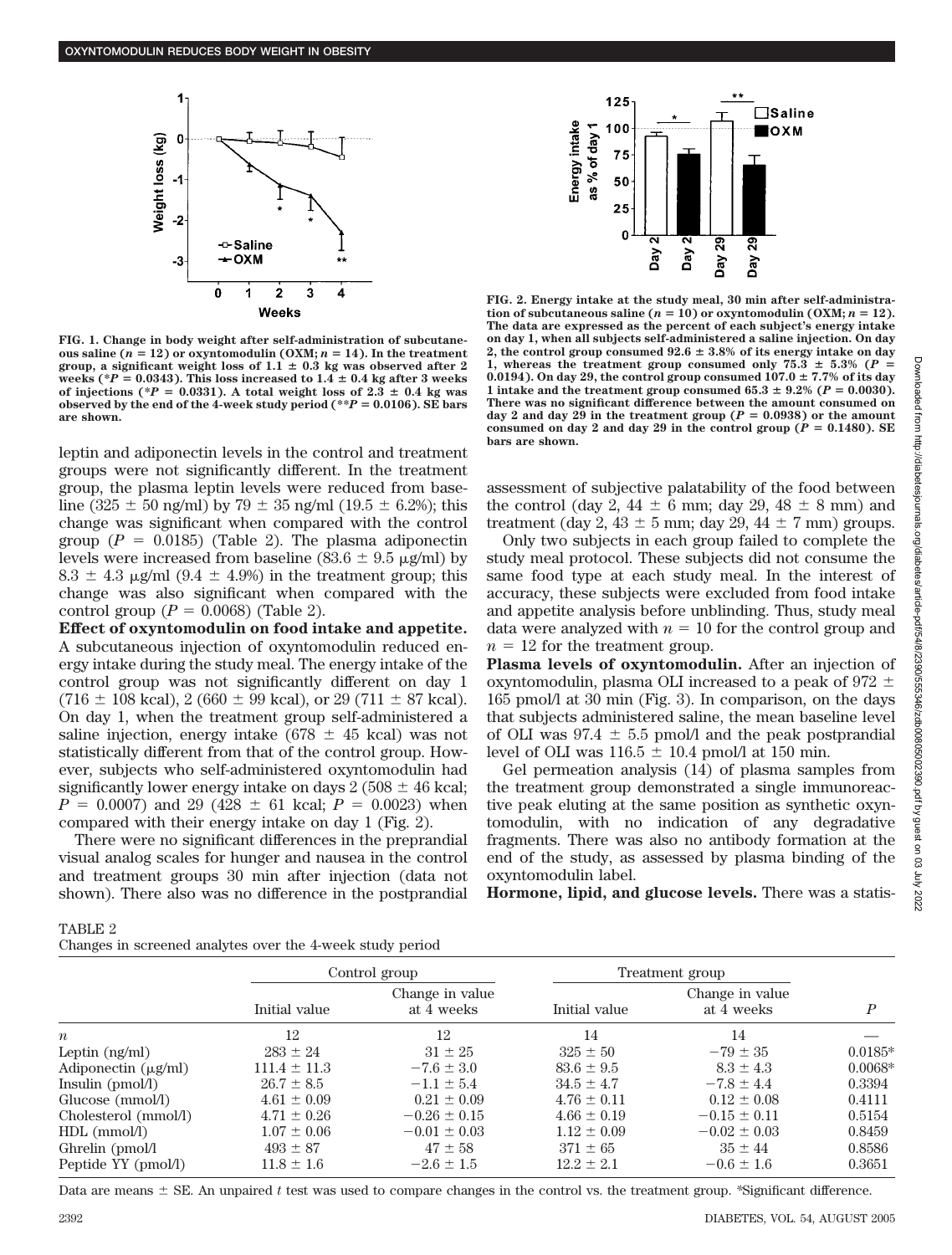

**FIG. 1. Change in body weight after self-administration of subcutane**ous saline  $(n = 12)$  or oxyntomodulin (OXM;  $n = 14$ ). In the treatment group, a significant weight loss of  $1.1 \pm 0.3$  kg was observed after 2 weeks ( ${}^*P = 0.0343$ ). This loss increased to  $1.4 \pm 0.4$  kg after 3 weeks of injections ( ${}^*P = 0.0331$ ). A total weight loss of 2.3  $\pm$  0.4 kg was observed by the end of the 4-week study period  $(*P = 0.0106)$ . SE bars **are shown.**

leptin and adiponectin levels in the control and treatment groups were not significantly different. In the treatment group, the plasma leptin levels were reduced from baseline  $(325 \pm 50 \text{ ng/ml})$  by  $79 \pm 35 \text{ ng/ml}$   $(19.5 \pm 6.2\%)$ ; this change was significant when compared with the control group  $(P = 0.0185)$  (Table 2). The plasma adiponectin levels were increased from baseline  $(83.6 \pm 9.5 \,\mathrm{\upmu g/ml})$  by  $8.3 \pm 4.3$  µg/ml  $(9.4 \pm 4.9%)$  in the treatment group; this change was also significant when compared with the control group  $(P = 0.0068)$  (Table 2).

**Effect of oxyntomodulin on food intake and appetite.** A subcutaneous injection of oxyntomodulin reduced energy intake during the study meal. The energy intake of the control group was not significantly different on day 1  $(716 \pm 108 \text{ kcal})$ ,  $2(660 \pm 99 \text{ kcal})$ , or  $29(711 \pm 87 \text{ kcal})$ . On day 1, when the treatment group self-administered a saline injection, energy intake ( $678 \pm 45$  kcal) was not statistically different from that of the control group. However, subjects who self-administered oxyntomodulin had significantly lower energy intake on days  $2$  ( $508 \pm 46$  kcal;  $P = 0.0007$ ) and 29 (428  $\pm$  61 kcal;  $P = 0.0023$ ) when compared with their energy intake on day 1 (Fig. 2).

There were no significant differences in the preprandial visual analog scales for hunger and nausea in the control and treatment groups 30 min after injection (data not shown). There also was no difference in the postprandial



**FIG. 2. Energy intake at the study meal, 30 min after self-administra** $t$  tion of subcutaneous saline ( $n = 10$ ) or oxyntomodulin (OXM;  $n = 12$ ). **The data are expressed as the percent of each subject's energy intake on day 1, when all subjects self-administered a saline injection. On day** 2, the control group consumed  $92.6 \pm 3.8\%$  of its energy intake on day 1, whereas the treatment group consumed only  $75.3 \pm 5.3\%$  ( $P =$  $0.0194$ ). On day 29, the control group consumed  $107.0 \pm 7.7\%$  of its day **1** intake and the treatment group consumed  $65.3 \pm 9.2\%$  ( $P = 0.0030$ ). **There was no significant difference between the amount consumed on** day 2 and day 29 in the treatment group  $(P = 0.0938)$  or the amount consumed on day 2 and day 29 in the control group  $(P = 0.1480)$ . SE **bars are shown.**

assessment of subjective palatability of the food between the control (day 2,  $44 \pm 6$  mm; day 29,  $48 \pm 8$  mm) and treatment (day  $2, 43 \pm 5$  mm; day  $29, 44 \pm 7$  mm) groups.

Only two subjects in each group failed to complete the study meal protocol. These subjects did not consume the same food type at each study meal. In the interest of accuracy, these subjects were excluded from food intake and appetite analysis before unblinding. Thus, study meal data were analyzed with  $n = 10$  for the control group and  $n = 12$  for the treatment group.

**Plasma levels of oxyntomodulin.** After an injection of oxyntomodulin, plasma OLI increased to a peak of 972  $\pm$ 165 pmol/l at 30 min (Fig. 3). In comparison, on the days that subjects administered saline, the mean baseline level of OLI was  $97.4 \pm 5.5$  pmol/l and the peak postprandial level of OLI was  $116.5 \pm 10.4$  pmol/l at 150 min.

Gel permeation analysis (14) of plasma samples from the treatment group demonstrated a single immunoreactive peak eluting at the same position as synthetic oxyntomodulin, with no indication of any degradative fragments. There was also no antibody formation at the end of the study, as assessed by plasma binding of the oxyntomodulin label.

**Hormone, lipid, and glucose levels.** There was a statis-

| TABLE 2 |                                                           |  |  |  |
|---------|-----------------------------------------------------------|--|--|--|
|         | Changes in screened analytes over the 4-week study period |  |  |  |

| Initial value    | Change in value<br>at 4 weeks | Initial value   | Change in value<br>at 4 weeks | P               |  |  |  |  |  |
|------------------|-------------------------------|-----------------|-------------------------------|-----------------|--|--|--|--|--|
| 12               | 12                            | 14              | 14                            |                 |  |  |  |  |  |
| $283 \pm 24$     | $31 \pm 25$                   | $325 \pm 50$    | $-79 \pm 35$                  | $0.0185*$       |  |  |  |  |  |
| $111.4 \pm 11.3$ | $-7.6 \pm 3.0$                | $83.6 \pm 9.5$  | $8.3 \pm 4.3$                 | $0.0068*$       |  |  |  |  |  |
| $26.7 \pm 8.5$   | $-1.1 \pm 5.4$                | $34.5 \pm 4.7$  | $-7.8 \pm 4.4$                | 0.3394          |  |  |  |  |  |
| $4.61 \pm 0.09$  | $0.21 \pm 0.09$               | $4.76 \pm 0.11$ | $0.12 \pm 0.08$               | 0.4111          |  |  |  |  |  |
| $4.71 \pm 0.26$  | $-0.26 \pm 0.15$              | $4.66 \pm 0.19$ | $-0.15 \pm 0.11$              | 0.5154          |  |  |  |  |  |
| $1.07 \pm 0.06$  | $-0.01 \pm 0.03$              | $1.12 \pm 0.09$ | $-0.02 \pm 0.03$              | 0.8459          |  |  |  |  |  |
| $493 \pm 87$     | $47 \pm 58$                   | $371 \pm 65$    | $35 \pm 44$                   | 0.8586          |  |  |  |  |  |
| $11.8 \pm 1.6$   | $-2.6 \pm 1.5$                | $12.2 \pm 2.1$  | $-0.6 \pm 1.6$                | 0.3651          |  |  |  |  |  |
|                  |                               | Control group   |                               | Treatment group |  |  |  |  |  |

Data are means  $\pm$  SE. An unpaired  $t$  test was used to compare changes in the control vs. the treatment group.  $*$ Significant difference.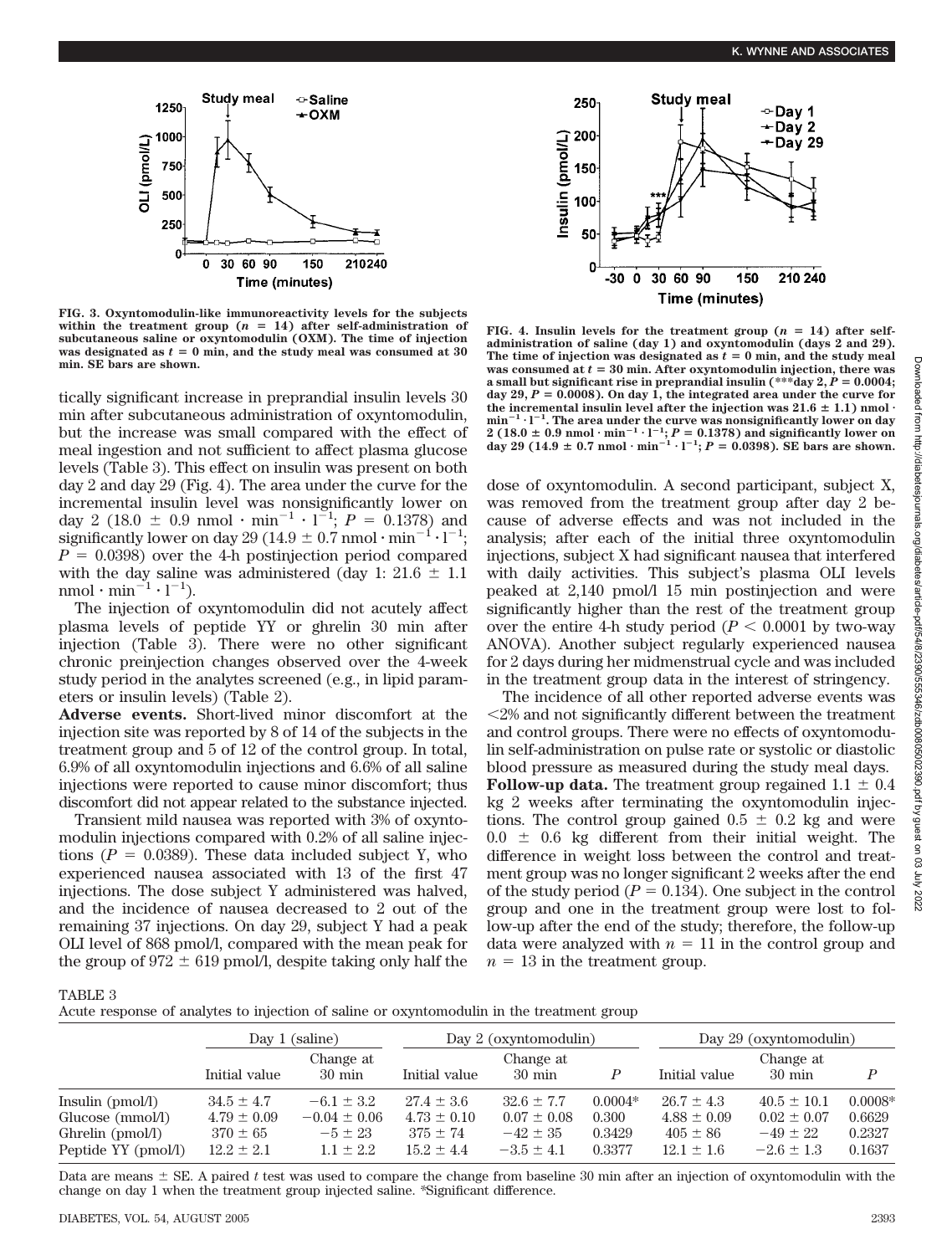

**FIG. 3. Oxyntomodulin-like immunoreactivity levels for the subjects** within the treatment group  $(n = 14)$  after self-administration of **subcutaneous saline or oxyntomodulin (OXM). The time of injection** was designated as  $t = 0$  min, and the study meal was consumed at 30 **min. SE bars are shown.**

tically significant increase in preprandial insulin levels 30 min after subcutaneous administration of oxyntomodulin, but the increase was small compared with the effect of meal ingestion and not sufficient to affect plasma glucose levels (Table 3). This effect on insulin was present on both day 2 and day 29 (Fig. 4). The area under the curve for the incremental insulin level was nonsignificantly lower on day 2 (18.0  $\pm$  0.9 nmol  $\cdot$  min<sup>-1</sup>  $\cdot$  1<sup>-1</sup>; *P* = 0.1378) and significantly lower on day 29 (14.9  $\pm$  0.7 nmol  $\cdot$  min $^{-1}\cdot$ l $^{-1};$  $P = 0.0398$  over the 4-h postinjection period compared with the day saline was administered (day 1:  $21.6 \pm 1.1$  $\text{mmol}\cdot\text{min}^{-1}\cdot l^{-1}$ ).

The injection of oxyntomodulin did not acutely affect plasma levels of peptide YY or ghrelin 30 min after injection (Table 3). There were no other significant chronic preinjection changes observed over the 4-week study period in the analytes screened (e.g., in lipid parameters or insulin levels) (Table 2).

**Adverse events.** Short-lived minor discomfort at the injection site was reported by 8 of 14 of the subjects in the treatment group and 5 of 12 of the control group. In total, 6.9% of all oxyntomodulin injections and 6.6% of all saline injections were reported to cause minor discomfort; thus discomfort did not appear related to the substance injected.

Transient mild nausea was reported with 3% of oxyntomodulin injections compared with 0.2% of all saline injections  $(P = 0.0389)$ . These data included subject Y, who experienced nausea associated with 13 of the first 47 injections. The dose subject Y administered was halved, and the incidence of nausea decreased to 2 out of the remaining 37 injections. On day 29, subject Y had a peak OLI level of 868 pmol/l, compared with the mean peak for the group of  $972 \pm 619$  pmol/l, despite taking only half the



FIG. 4. Insulin levels for the treatment group  $(n = 14)$  after self**administration of saline (day 1) and oxyntomodulin (days 2 and 29).** The time of injection was designated as  $t = 0$  min, and the study meal was consumed at  $t = 30$  min. After oxyntomodulin injection, there was<br>a small but significant rise in preprandial insulin (\*\*\*day 2,  $P = 0.0004$ ; day  $29$ ,  $P = 0.0008$ ). On day 1, the integrated area under the curve for the incremental insulin level after the injection was  $21.6 \pm 1.1$ ) nmol  $\cdot$ min<sup>-1</sup> · 1<sup>-1</sup>. The area under the curve was nonsignificantly lower on day  $2(18.0 \pm 0.9 \text{ nmol} \cdot \text{min}^{-1} \cdot 1^{-1}; P = 0.1378)$  and significantly lower on day  $29(14.9 \pm 0.7 \text{ nmol} \cdot \text{min}^{-1} \cdot 1^{-1}; P = 0.0398)$ . SE bars are show

dose of oxyntomodulin. A second participant, subject X, was removed from the treatment group after day 2 because of adverse effects and was not included in the analysis; after each of the initial three oxyntomodulin injections, subject X had significant nausea that interfered with daily activities. This subject's plasma OLI levels peaked at 2,140 pmol/l 15 min postinjection and were significantly higher than the rest of the treatment group over the entire 4-h study period  $(P < 0.0001$  by two-way ANOVA). Another subject regularly experienced nausea for 2 days during her midmenstrual cycle and was included in the treatment group data in the interest of stringency.

The incidence of all other reported adverse events was 2% and not significantly different between the treatment and control groups. There were no effects of oxyntomodulin self-administration on pulse rate or systolic or diastolic blood pressure as measured during the study meal days. **Follow-up data.** The treatment group regained  $1.1 \pm 0.4$ kg 2 weeks after terminating the oxyntomodulin injections. The control group gained  $0.5 \pm 0.2$  kg and were  $0.0 \pm 0.6$  kg different from their initial weight. The difference in weight loss between the control and treatment group was no longer significant 2 weeks after the end of the study period  $(P = 0.134)$ . One subject in the control group and one in the treatment group were lost to follow-up after the end of the study; therefore, the follow-up data were analyzed with  $n = 11$  in the control group and  $n = 13$  in the treatment group.

TABLE 3

Acute response of analytes to injection of saline or oxyntomodulin in the treatment group

|                                                                                   | Day $1$ (saline)                                                    |                                                                    | Day 2 (oxyntomodulin)                                               |                                                                     |                                        | Day 29 (oxyntomodulin)                                              |                                                                      |                                         |
|-----------------------------------------------------------------------------------|---------------------------------------------------------------------|--------------------------------------------------------------------|---------------------------------------------------------------------|---------------------------------------------------------------------|----------------------------------------|---------------------------------------------------------------------|----------------------------------------------------------------------|-----------------------------------------|
|                                                                                   | Initial value                                                       | Change at<br>$30 \text{ min}$                                      | Initial value                                                       | Change at<br>$30 \text{ min}$                                       | P                                      | Initial value                                                       | Change at<br>$30 \text{ min}$                                        |                                         |
| Insulin $(pmol/l)$<br>Glucose (mmol/l)<br>Ghrelin (pmol/l)<br>Peptide YY (pmol/l) | $34.5 \pm 4.7$<br>$4.79 \pm 0.09$<br>$370 \pm 65$<br>$12.2 \pm 2.1$ | $-6.1 \pm 3.2$<br>$-0.04 \pm 0.06$<br>$-5 \pm 23$<br>$1.1 \pm 2.2$ | $27.4 \pm 3.6$<br>$4.73 \pm 0.10$<br>$375 \pm 74$<br>$15.2 \pm 4.4$ | $32.6 \pm 7.7$<br>$0.07 \pm 0.08$<br>$-42 \pm 35$<br>$-3.5 \pm 4.1$ | $0.0004*$<br>0.300<br>0.3429<br>0.3377 | $26.7 \pm 4.3$<br>$4.88 \pm 0.09$<br>$405 \pm 86$<br>$12.1 \pm 1.6$ | $40.5 \pm 10.1$<br>$0.02 \pm 0.07$<br>$-49 \pm 22$<br>$-2.6 \pm 1.3$ | $0.0008*$<br>0.6629<br>0.2327<br>0.1637 |

Data are means  $\pm$  SE. A paired t test was used to compare the change from baseline 30 min after an injection of oxyntomodulin with the change on day 1 when the treatment group injected saline. *\**Significant difference.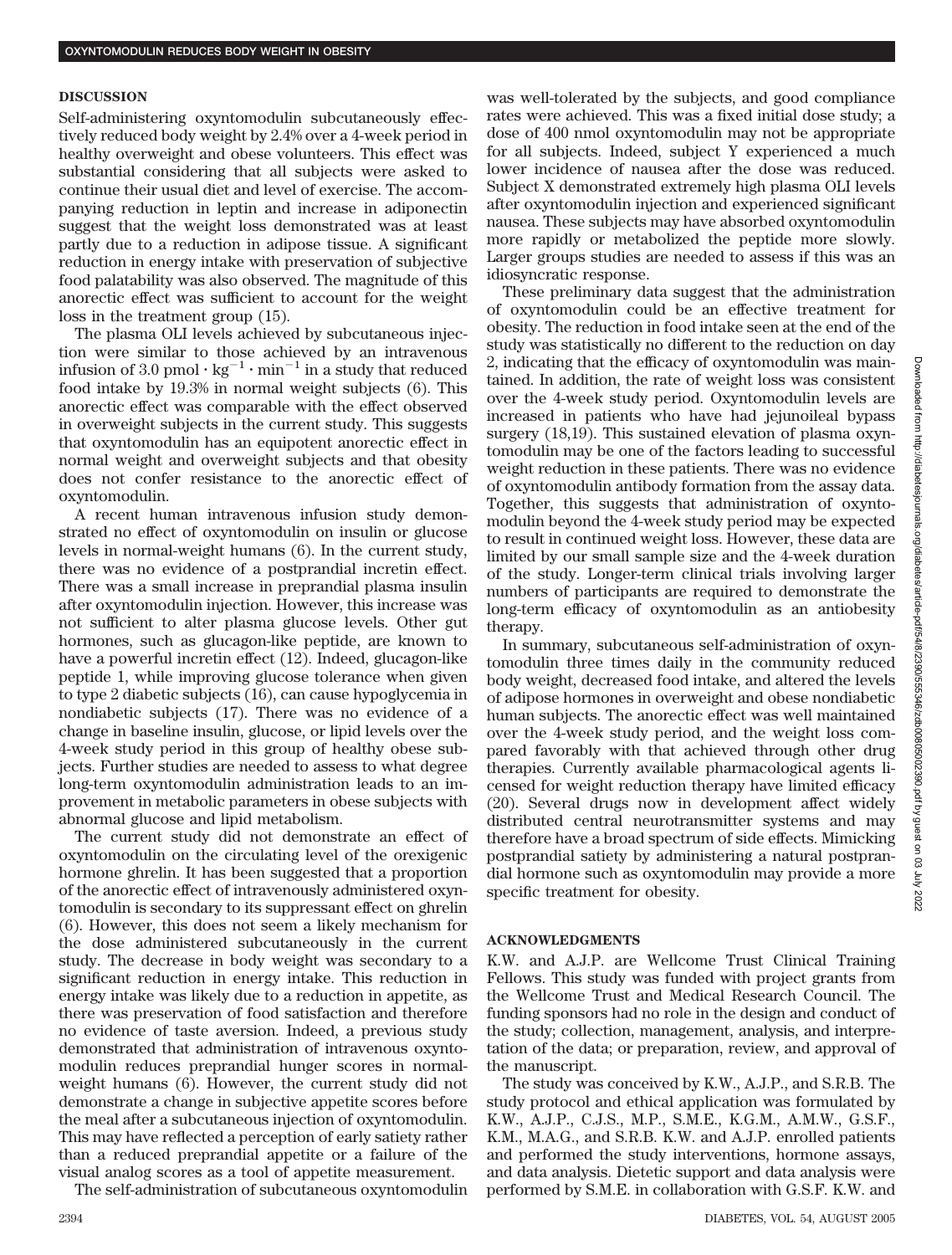#### **DISCUSSION**

Self-administering oxyntomodulin subcutaneously effectively reduced body weight by 2.4% over a 4-week period in healthy overweight and obese volunteers. This effect was substantial considering that all subjects were asked to continue their usual diet and level of exercise. The accompanying reduction in leptin and increase in adiponectin suggest that the weight loss demonstrated was at least partly due to a reduction in adipose tissue. A significant reduction in energy intake with preservation of subjective food palatability was also observed. The magnitude of this anorectic effect was sufficient to account for the weight loss in the treatment group (15).

The plasma OLI levels achieved by subcutaneous injection were similar to those achieved by an intravenous infusion of 3.0 pmol  $\cdot$  kg<sup>-1</sup>  $\cdot$  min<sup>-1</sup> in a study that reduced food intake by 19.3% in normal weight subjects (6). This anorectic effect was comparable with the effect observed in overweight subjects in the current study. This suggests that oxyntomodulin has an equipotent anorectic effect in normal weight and overweight subjects and that obesity does not confer resistance to the anorectic effect of oxyntomodulin.

A recent human intravenous infusion study demonstrated no effect of oxyntomodulin on insulin or glucose levels in normal-weight humans (6). In the current study, there was no evidence of a postprandial incretin effect. There was a small increase in preprandial plasma insulin after oxyntomodulin injection. However, this increase was not sufficient to alter plasma glucose levels. Other gut hormones, such as glucagon-like peptide, are known to have a powerful incretin effect (12). Indeed, glucagon-like peptide 1, while improving glucose tolerance when given to type 2 diabetic subjects (16), can cause hypoglycemia in nondiabetic subjects (17). There was no evidence of a change in baseline insulin, glucose, or lipid levels over the 4-week study period in this group of healthy obese subjects. Further studies are needed to assess to what degree long-term oxyntomodulin administration leads to an improvement in metabolic parameters in obese subjects with abnormal glucose and lipid metabolism.

The current study did not demonstrate an effect of oxyntomodulin on the circulating level of the orexigenic hormone ghrelin. It has been suggested that a proportion of the anorectic effect of intravenously administered oxyntomodulin is secondary to its suppressant effect on ghrelin (6). However, this does not seem a likely mechanism for the dose administered subcutaneously in the current study. The decrease in body weight was secondary to a significant reduction in energy intake. This reduction in energy intake was likely due to a reduction in appetite, as there was preservation of food satisfaction and therefore no evidence of taste aversion. Indeed, a previous study demonstrated that administration of intravenous oxyntomodulin reduces preprandial hunger scores in normalweight humans (6). However, the current study did not demonstrate a change in subjective appetite scores before the meal after a subcutaneous injection of oxyntomodulin. This may have reflected a perception of early satiety rather than a reduced preprandial appetite or a failure of the visual analog scores as a tool of appetite measurement.

The self-administration of subcutaneous oxyntomodulin

was well-tolerated by the subjects, and good compliance rates were achieved. This was a fixed initial dose study; a dose of 400 nmol oxyntomodulin may not be appropriate for all subjects. Indeed, subject Y experienced a much lower incidence of nausea after the dose was reduced. Subject X demonstrated extremely high plasma OLI levels after oxyntomodulin injection and experienced significant nausea. These subjects may have absorbed oxyntomodulin more rapidly or metabolized the peptide more slowly. Larger groups studies are needed to assess if this was an idiosyncratic response.

These preliminary data suggest that the administration of oxyntomodulin could be an effective treatment for obesity. The reduction in food intake seen at the end of the study was statistically no different to the reduction on day 2, indicating that the efficacy of oxyntomodulin was maintained. In addition, the rate of weight loss was consistent over the 4-week study period. Oxyntomodulin levels are increased in patients who have had jejunoileal bypass surgery  $(18,19)$ . This sustained elevation of plasma oxyntomodulin may be one of the factors leading to successful weight reduction in these patients. There was no evidence of oxyntomodulin antibody formation from the assay data. Together, this suggests that administration of oxyntomodulin beyond the 4-week study period may be expected to result in continued weight loss. However, these data are limited by our small sample size and the 4-week duration of the study. Longer-term clinical trials involving larger numbers of participants are required to demonstrate the long-term efficacy of oxyntomodulin as an antiobesity therapy.

In summary, subcutaneous self-administration of oxyntomodulin three times daily in the community reduced body weight, decreased food intake, and altered the levels of adipose hormones in overweight and obese nondiabetic human subjects. The anorectic effect was well maintained over the 4-week study period, and the weight loss compared favorably with that achieved through other drug therapies. Currently available pharmacological agents licensed for weight reduction therapy have limited efficacy (20). Several drugs now in development affect widely distributed central neurotransmitter systems and may therefore have a broad spectrum of side effects. Mimicking postprandial satiety by administering a natural postprandial hormone such as oxyntomodulin may provide a more specific treatment for obesity.

#### **ACKNOWLEDGMENTS**

K.W. and A.J.P. are Wellcome Trust Clinical Training Fellows. This study was funded with project grants from the Wellcome Trust and Medical Research Council. The funding sponsors had no role in the design and conduct of the study; collection, management, analysis, and interpretation of the data; or preparation, review, and approval of the manuscript.

The study was conceived by K.W., A.J.P., and S.R.B. The study protocol and ethical application was formulated by K.W., A.J.P., C.J.S., M.P., S.M.E., K.G.M., A.M.W., G.S.F., K.M., M.A.G., and S.R.B. K.W. and A.J.P. enrolled patients and performed the study interventions, hormone assays, and data analysis. Dietetic support and data analysis were performed by S.M.E. in collaboration with G.S.F. K.W. and